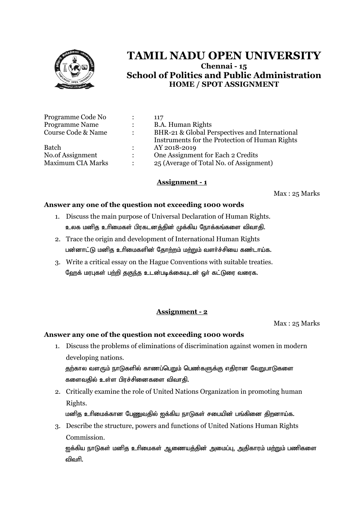

# **TAMIL NADU OPEN UNIVERSITY Chennai - 15 School of Politics and Public Administration HOME / SPOT ASSIGNMENT**

| Programme Code No        |                      | 117                                                                                              |
|--------------------------|----------------------|--------------------------------------------------------------------------------------------------|
| <b>Programme Name</b>    |                      | <b>B.A. Human Rights</b>                                                                         |
| Course Code & Name       | $\ddot{\phantom{a}}$ | BHR-21 & Global Perspectives and International<br>Instruments for the Protection of Human Rights |
| <b>Batch</b>             |                      | AY 2018-2019                                                                                     |
| No.of Assignment         | $\ddot{\phantom{a}}$ | One Assignment for Each 2 Credits                                                                |
| <b>Maximum CIA Marks</b> | $\ddot{\cdot}$       | 25 (Average of Total No. of Assignment)                                                          |

#### **Assignment - 1**

Max : 25 Marks

#### **Answer any one of the question not exceeding 1000 words**

- 1. Discuss the main purpose of Universal Declaration of Human Rights. உலக மனித உரிமைகள் பிரகடனத்தின் முக்கிய நோக்கங்களை விவாதி.
- 2. Trace the origin and development of International Human Rights பன்னாட்டு மனித உரிமைகளின் தோற்றம் மற்றும் வளர்ச்சியை கண்டாய்க.
- 3. Write a critical essay on the Hague Conventions with suitable treaties. ஹேக் மரபுகள் பற்றி தகுந்த உடன்படிக்கையுடன் ஒர் கட்டுரை வரைக.

## **Assignment - 2**

Max : 25 Marks

## **Answer any one of the question not exceeding 1000 words**

1. Discuss the problems of eliminations of discrimination against women in modern developing nations.

தற்கால வளரும் நாடுகளில் காணப்பெறும் பெண்களுக்கு எதிரான வேறுபாடுகளை களைவதில் உள்ள பிரச்சினைகளை விவாதி.

2. Critically examine the role of United Nations Organization in promoting human Rights.

மனித உரிமைக்கான பேணுவதில் ஐக்கிய நாடுகள் சபையின் பங்கினை திறனாய்க.

3. Describe the structure, powers and functions of United Nations Human Rights Commission.

<u>ஐ</u>க்கிய நாடுகள் மனித உரிமைகள் ஆணையத்தின் அமைப்பு, அதிகாரம் மற்றும் பணிகளை விவரி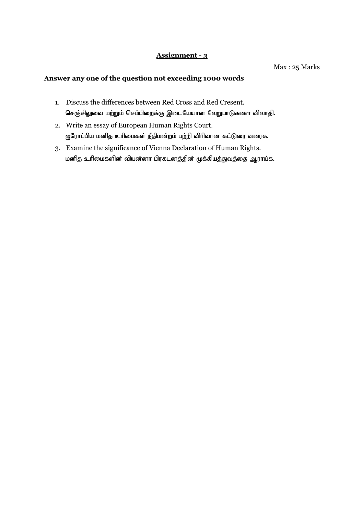## **Assignment - 3**

Max : 25 Marks

## **Answer any one of the question not exceeding 1000 words**

- 1. Discuss the differences between Red Cross and Red Cresent. செஞ்சிலுவை மற்றும் செம்பிறைக்கு இடையேயான வேறுபாடுகளை விவாதி.
- 2. Write an essay of European Human Rights Court. ஐரோப்பிய மனித உரிமைகள் நீதிமன்றம் பற்றி விரிவான கட்டுரை வரைக.
- 3. Examine the significance of Vienna Declaration of Human Rights. மனித உரிமைகளின் வியன்னா பிரகடனத்தின் முக்கியத்துவத்தை ஆராய்க.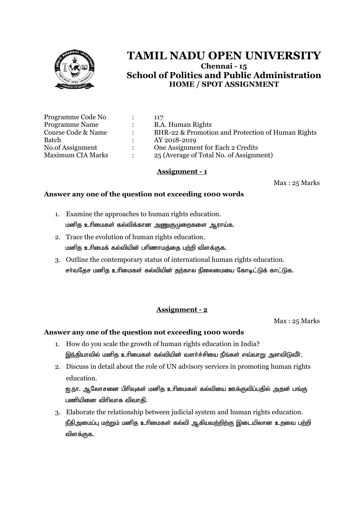

# **TAMIL NADU OPEN UNIVERSITY Chennai - 15 School of Politics and Public Administration HOME / SPOT ASSIGNMENT**

| Programme Code No        |                      | 117                                               |
|--------------------------|----------------------|---------------------------------------------------|
| <b>Programme Name</b>    | $\ddot{\cdot}$       | <b>B.A. Human Rights</b>                          |
| Course Code & Name       | $\bullet$            | BHR-22 & Promotion and Protection of Human Rights |
| Batch                    |                      | AY 2018-2019                                      |
| No.of Assignment         | $\ddot{\phantom{a}}$ | One Assignment for Each 2 Credits                 |
| <b>Maximum CIA Marks</b> | $\ddot{\phantom{a}}$ | 25 (Average of Total No. of Assignment)           |
|                          |                      |                                                   |

#### **Assignment - 1**

Max : 25 Marks

#### **Answer any one of the question not exceeding 1000 words**

- 1. Examine the approaches to human rights education. மனித உரிமைகள் கல்விக்கான அணுகுமுறைகளை ஆராய்க.
- 2. Trace the evolution of human rights education. மனித உரிமைக் கல்வியின் பரிணாமத்தை பற்றி விளக்குக.
- 3. Outline the contemporary status of international human rights education. சர்வதேச மனித உரிமைகள் கல்வியின் தற்கால நிலைமையை கோடிட்டுக் காட்டுக.

## **Assignment - 2**

Max : 25 Marks

## **Answer any one of the question not exceeding 1000 words**

- 1. How do you scale the growth of human rights education in India? இந்தியாவில் மனித உரிமைகள் கல்வியின் வளர்ச்சியை நீங்கள் எவ்வாறு அளவிடுவீா்.
- 2. Discuss in detail about the role of UN advisory services in promoting human rights education.

<u>ஐ.நா. ஆ</u>லோசனை பிரிவுகள் மனித உரிமைகள் கல்வியை ஊக்குவிப்பதில் அதன் பங்கு பணியினை விரிவாக விவாகி.

3. Elaborate the relationship between judicial system and human rights education. நீதிஅமைப்பு மற்றும் மனித உரிமைகள் கல்வி ஆகியவற்றிற்கு இடையிலான உறவை பற்றி விளக்குக.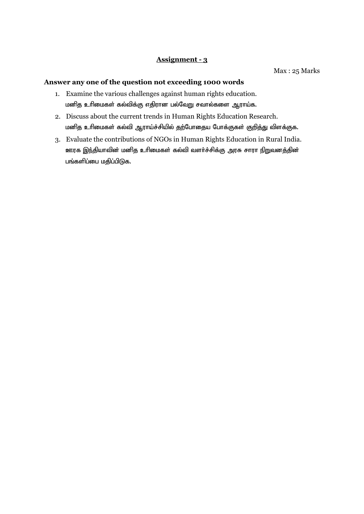## **Assignment - 3**

#### **Answer any one of the question not exceeding 1000 words**

- 1. Examine the various challenges against human rights education. மனித உரிமைகள் கல்விக்கு எதிரான பல்வேறு சவால்களை ஆராய்க.
- 2. Discuss about the current trends in Human Rights Education Research. மனித உரிமைகள் கல்வி ஆராய்ச்சியில் தற்போதைய போக்குகள் குறித்து விளக்குக.
- 3. Evaluate the contributions of NGOs in Human Rights Education in Rural India. ஊரக இந்தியாவின் மனித உரிமைகள் கல்வி வளர்ச்சிக்கு அரசு சாரா நிறுவனத்தின் பங்களிப்பை மதிப்பிடுக.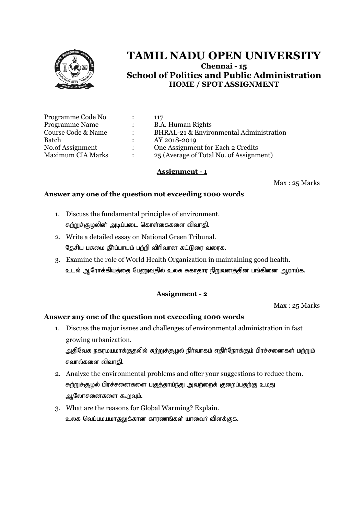

# **TAMIL NADU OPEN UNIVERSITY Chennai - 15 School of Politics and Public Administration HOME / SPOT ASSIGNMENT**

| Programme Code No        |                           | 117                                     |
|--------------------------|---------------------------|-----------------------------------------|
| <b>Programme Name</b>    | $\ddot{\cdot}$            | <b>B.A. Human Rights</b>                |
| Course Code & Name       | ٠                         | BHRAL-21 & Environmental Administration |
| Batch                    |                           | AY 2018-2019                            |
| No.of Assignment         | $\mathbf{L}$              | One Assignment for Each 2 Credits       |
| <b>Maximum CIA Marks</b> | $\mathbb{R}^{\mathbb{Z}}$ | 25 (Average of Total No. of Assignment) |

#### **Assignment - 1**

Max : 25 Marks

#### **Answer any one of the question not exceeding 1000 words**

- 1. Discuss the fundamental principles of environment. சுற்றுச்சூழலின் அடிப்படை கொள்கைகளை விவாதி.
- 2. Write a detailed essay on National Green Tribunal. தேசிய பசுமை தீர்ப்பாயம் பற்றி விரிவான கட்டுரை வரைக.
- 3. Examine the role of World Health Organization in maintaining good health. உடல் ஆரோக்கியத்தை பேணுவதில் உலக சுகாதார நிறுவனத்தின் பங்கினை ஆராய்க.

## **Assignment - 2**

Max : 25 Marks

#### **Answer any one of the question not exceeding 1000 words**

- 1. Discuss the major issues and challenges of environmental administration in fast growing urbanization. அதிவேக நகரமயமாக்குதலில் சுற்றுச்சூழல் நிர்வாகம் எதிர்நோக்கும் பிரச்சனைகள் ம<u>ற்று</u>ம் சவால்களை விவாதி.
- 2. Analyze the environmental problems and offer your suggestions to reduce them. சுற்றுச்சூழல் பிரச்சனைகளை பகுத்தாய்ந்து அவற்றைக் குறைப்பதற்கு உமது ஆலோசனைகளை கூறவும்.
- 3. What are the reasons for Global Warming? Explain. உலக வெப்பமயமாதலுக்கான காரணங்கள் யாவை? விளக்குக.